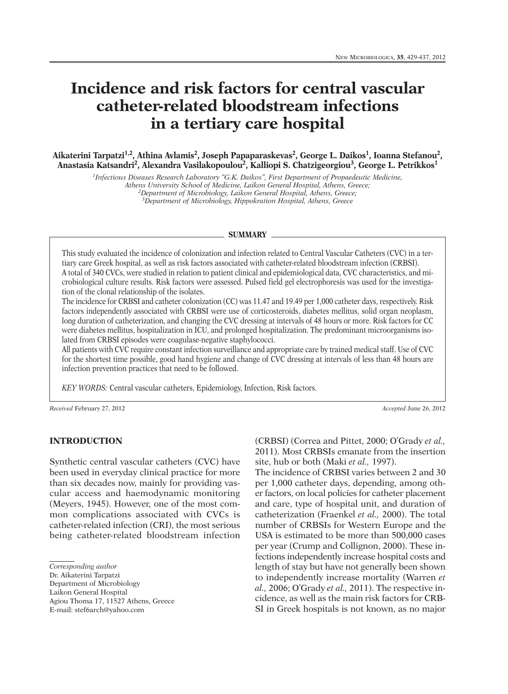# **Incidence and risk factors for central vascular catheter-related bloodstream infections in a tertiary care hospital**

**Aikaterini Tarpatzi 1,2, Athina Avlamis2, Joseph Papaparaskevas2, George L. Daikos1, Ioanna Stefanou2, Anastasia Katsandri 2, Alexandra Vasilakopoulou2, Kalliopi S. Chatzigeorgiou3, George L. Petrikkos1**

> *1Infectious Diseases Research Laboratory "G.K. Daikos", First Department of Propaedeutic Medicine, Athens University School of Medicine, Laikon General Hospital, Athens, Greece; 2Department of Microbiology, Laikon General Hospital, Athens, Greece;*

*3Department of Microbiology, Hippokration Hospital, Athens, Greece*

#### **SUMMARY**

This study evaluated the incidence of colonization and infection related to Central Vascular Catheters (CVC) in a tertiary care Greek hospital, as well as risk factors associated with catheter-related bloodstream infection (CRBSI). A total of 340 CVCs, were studied in relation to patient clinical and epidemiological data, CVC characteristics, and microbiological culture results. Risk factors were assessed. Pulsed field gel electrophoresis was used for the investigation of the clonal relationship of the isolates.

The incidence for CRBSI and catheter colonization (CC) was 11.47 and 19.49 per 1,000 catheter days, respectively. Risk factors independently associated with CRBSI were use of corticosteroids, diabetes mellitus, solid organ neoplasm, long duration of catheterization, and changing the CVC dressing at intervals of 48 hours or more. Risk factors for CC were diabetes mellitus, hospitalization in ICU, and prolonged hospitalization. The predominant microorganisms isolated from CRBSI episodes were coagulase-negative staphylococci.

All patients with CVC require constant infection surveillance and appropriate care by trained medical staff. Use of CVC for the shortest time possible, good hand hygiene and change of CVC dressing at intervals of less than 48 hours are infection prevention practices that need to be followed.

*KEY WORDS:* Central vascular catheters, Epidemiology, Infection, Risk factors.

*Received* February 27, 2012 *Accepted* June 26, 2012

# **INTRODUCTION**

Synthetic central vascular catheters (CVC) have been used in everyday clinical practice for more than six decades now, mainly for providing vascular access and haemodynamic monitoring (Meyers, 1945). However, one of the most common complications associated with CVCs is catheter-related infection (CRI), the most serious being catheter-related bloodstream infection

Dr. Aikaterini Tarpatzi

Department of Microbiology

Laikon General Hospital

Agiou Thoma 17, 11527 Athens, Greece E-mail: stef6arch@yahoo.com

(CRBSI) (Correa and Pittet, 2000; O'Grady *et al.,* 2011). Most CRBSIs emanate from the insertion site, hub or both (Maki *et al.,* 1997).

The incidence of CRBSI varies between 2 and 30 per 1,000 catheter days, depending, among other factors, on local policies for catheter placement and care, type of hospital unit, and duration of catheterization (Fraenkel *et al.,* 2000). The total number of CRBSIs for Western Europe and the USA is estimated to be more than 500,000 cases per year (Crump and Collignon, 2000). These infections independently increase hospital costs and length of stay but have not generally been shown to independently increase mortality (Warren *et al.,* 2006; O'Grady *et al.,* 2011). The respective incidence, as well as the main risk factors for CRB-SI in Greek hospitals is not known, as no major

*Corresponding author*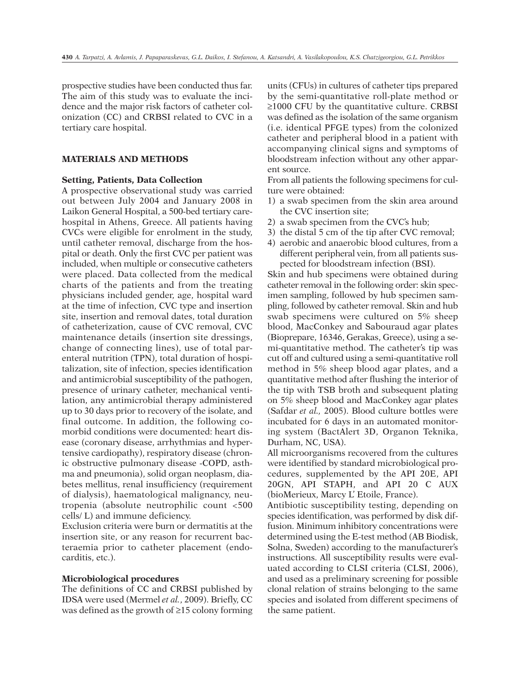prospective studies have been conducted thus far. The aim of this study was to evaluate the incidence and the major risk factors of catheter colonization (CC) and CRBSI related to CVC in a tertiary care hospital.

## **MATERIALS AND METHODS**

#### **Setting, Patients, Data Collection**

A prospective observational study was carried out between July 2004 and January 2008 in Laikon General Hospital, a 500-bed tertiary carehospital in Athens, Greece. All patients having CVCs were eligible for enrolment in the study, until catheter removal, discharge from the hospital or death. Only the first CVC per patient was included, when multiple or consecutive catheters were placed. Data collected from the medical charts of the patients and from the treating physicians included gender, age, hospital ward at the time of infection, CVC type and insertion site, insertion and removal dates, total duration of catheterization, cause of CVC removal, CVC maintenance details (insertion site dressings, change of connecting lines), use of total parenteral nutrition (TPN), total duration of hospitalization, site of infection, species identification and antimicrobial susceptibility of the pathogen, presence of urinary catheter, mechanical ventilation, any antimicrobial therapy administered up to 30 days prior to recovery of the isolate, and final outcome. In addition, the following comorbid conditions were documented: heart disease (coronary disease, arrhythmias and hypertensive cardiopathy), respiratory disease (chronic obstructive pulmonary disease -COPD, asthma and pneumonia), solid organ neoplasm, diabetes mellitus, renal insufficiency (requirement of dialysis), haematological malignancy, neutropenia (absolute neutrophilic count <500 cells/ L) and immune deficiency.

Exclusion criteria were burn or dermatitis at the insertion site, or any reason for recurrent bacteraemia prior to catheter placement (endocarditis, etc.).

#### **Microbiological procedures**

The definitions of CC and CRBSI published by IDSA were used (Mermel *et al.*, 2009). Briefly, CC was defined as the growth of ≥15 colony forming

units (CFUs) in cultures of catheter tips prepared by the semi-quantitative roll-plate method or ≥1000 CFU by the quantitative culture. CRBSI was defined as the isolation of the same organism (i.e. identical PFGE types) from the colonized catheter and peripheral blood in a patient with accompanying clinical signs and symptoms of bloodstream infection without any other apparent source.

From all patients the following specimens for culture were obtained:

- 1) a swab specimen from the skin area around the CVC insertion site;
- 2) a swab specimen from the CVC's hub;
- 3) the distal 5 cm of the tip after CVC removal;
- 4) aerobic and anaerobic blood cultures, from a different peripheral vein, from all patients suspected for bloodstream infection (BSI).

Skin and hub specimens were obtained during catheter removal in the following order: skin specimen sampling, followed by hub specimen sampling, followed by catheter removal. Skin and hub swab specimens were cultured on 5% sheep blood, MacConkey and Sabouraud agar plates (Bioprepare, 16346, Gerakas, Greece), using a semi-quantitative method. The catheter's tip was cut off and cultured using a semi-quantitative roll method in 5% sheep blood agar plates, and a quantitative method after flushing the interior of the tip with TSB broth and subsequent plating on 5% sheep blood and MacConkey agar plates (Safdar *et al.,* 2005). Blood culture bottles were incubated for 6 days in an automated monitoring system (BactAlert 3D, Organon Teknika, Durham, NC, USA).

All microorganisms recovered from the cultures were identified by standard microbiological procedures, supplemented by the API 20E, API 20GN, API STAPH, and API 20 C AUX (bioMerieux, Marcy L' Etoile, France).

Antibiotic susceptibility testing, depending on species identification, was performed by disk diffusion. Minimum inhibitory concentrations were determined using the E-test method (AB Biodisk, Solna, Sweden) according to the manufacturer's instructions. All susceptibility results were evaluated according to CLSI criteria (CLSI, 2006), and used as a preliminary screening for possible clonal relation of strains belonging to the same species and isolated from different specimens of the same patient.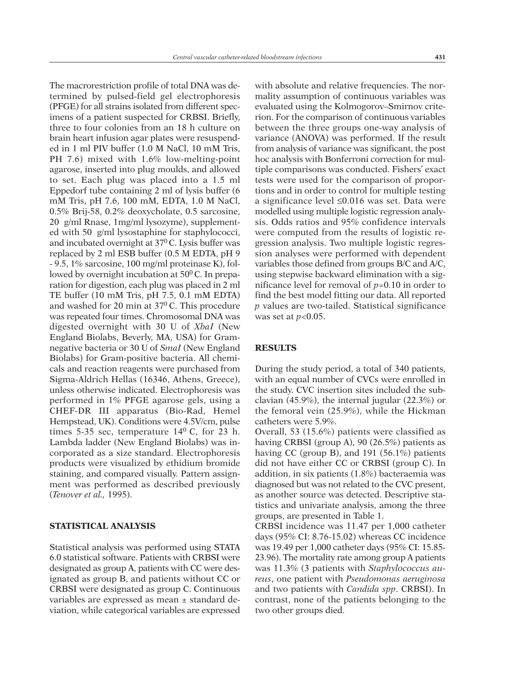The macrorestriction profile of total DNA was determined by pulsed-field gel electrophoresis (PFGE) for all strains isolated from different specimens of a patient suspected for CRBSI. Briefly, three to four colonies from an 18 h culture on brain heart infusion agar plates were resuspended in 1 ml PIV buffer (1.0 M NaCl, 10 mM Tris, PH 7.6) mixed with 1.6% low-melting-point agarose, inserted into plug moulds, and allowed to set. Each plug was placed into a 1.5 ml Eppedorf tube containing 2 ml of lysis buffer (6 mM Tris, pH 7.6, 100 mM, EDTA, 1.0 M NaCl, 0.5% Brij-58, 0.2% deoxycholate, 0.5 sarcosine, 20 g/ml Rnase, 1mg/ml lysozyme), supplemented with 50 g/ml lysostaphine for staphylococci, and incubated overnight at  $37^{\circ}$ C. Lysis buffer was replaced by 2 ml ESB buffer (0.5 M EDTA, pH 9 - 9.5, 1% sarcosine, 100 mg/ml proteinase K), followed by overnight incubation at  $50^{\circ}$ C. In preparation for digestion, each plug was placed in 2 ml TE buffer (10 mM Tris, pH 7.5, 0.1 mM EDTA) and washed for 20 min at  $37^{\circ}$  C. This procedure was repeated four times. Chromosomal DNA was digested overnight with 30 U of *XbaI* (New England Biolabs, Beverly, MA, USA) for Gramnegative bacteria or 30 U of *SmaI* (New England Biolabs) for Gram-positive bacteria. All chemicals and reaction reagents were purchased from Sigma-Aldrich Hellas (16346, Athens, Greece), unless otherwise indicated. Electrophoresis was performed in 1% PFGE agarose gels, using a CHEF-DR III apparatus (Bio-Rad, Hemel Hempstead, UK). Conditions were 4.5V/cm, pulse times 5-35 sec, temperature  $14^0$  C, for  $23$  h. Lambda ladder (New England Biolabs) was incorporated as a size standard. Electrophoresis products were visualized by ethidium bromide staining, and compared visually. Pattern assignment was performed as described previously (*Tenover et al.,* 1995).

# **STATISTICAL ANALYSIS**

Statistical analysis was performed using STATA 6.0 statistical software. Patients with CRBSI were designated as group A, patients with CC were designated as group B, and patients without CC or CRBSI were designated as group C. Continuous variables are expressed as mean ± standard deviation, while categorical variables are expressed

with absolute and relative frequencies. The normality assumption of continuous variables was evaluated using the Kolmogorov–Smirnov criterion. For the comparison of continuous variables between the three groups one-way analysis of variance (ANOVA) was performed. If the result from analysis of variance was significant, the post hoc analysis with Bonferroni correction for multiple comparisons was conducted. Fishers' exact tests were used for the comparison of proportions and in order to control for multiple testing a significance level ≤0.016 was set. Data were modelled using multiple logistic regression analysis. Odds ratios and 95% confidence intervals were computed from the results of logistic regression analysis. Two multiple logistic regression analyses were performed with dependent variables those defined from groups B/C and A/C, using stepwise backward elimination with a significance level for removal of *p*=0.10 in order to find the best model fitting our data. All reported *p* values are two-tailed. Statistical significance was set at *p*<0.05.

## **RESULTS**

During the study period, a total of 340 patients, with an equal number of CVCs were enrolled in the study. CVC insertion sites included the subclavian (45.9%), the internal jugular (22.3%) or the femoral vein (25.9%), while the Hickman catheters were 5.9%.

Overall, 53 (15.6%) patients were classified as having CRBSI (group A), 90 (26.5%) patients as having CC (group B), and 191 (56.1%) patients did not have either CC or CRBSI (group C). In addition, in six patients (1.8%) bacteraemia was diagnosed but was not related to the CVC present, as another source was detected. Descriptive statistics and univariate analysis, among the three groups, are presented in Table 1.

CRBSI incidence was 11.47 per 1,000 catheter days (95% CI: 8.76-15.02) whereas CC incidence was 19.49 per 1,000 catheter days (95% CI: 15.85- 23.96). The mortality rate among group A patients was 11.3% (3 patients with *Staphylococcus aureus*, one patient with *Pseudomonas aeruginosa* and two patients with *Candida spp*. CRBSI). In contrast, none of the patients belonging to the two other groups died.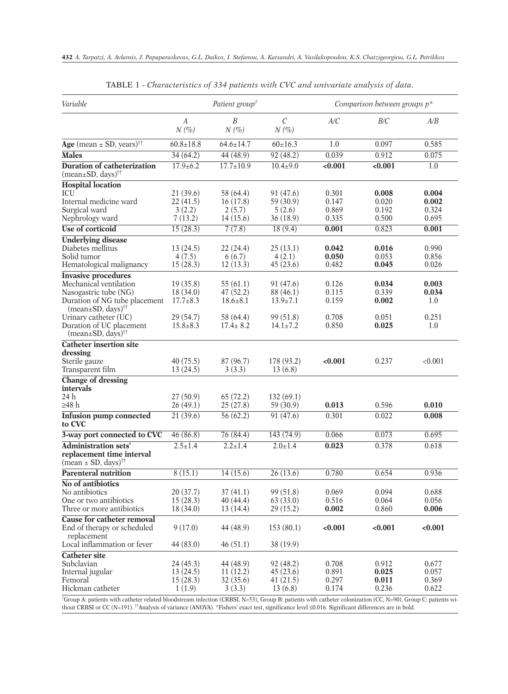| Variable                                                                                                                                                                                                                                                                                                          | Patient group <sup>†</sup>                                            |                                                                        |                                                                         | Comparison between groups p*              |                                           |                                       |
|-------------------------------------------------------------------------------------------------------------------------------------------------------------------------------------------------------------------------------------------------------------------------------------------------------------------|-----------------------------------------------------------------------|------------------------------------------------------------------------|-------------------------------------------------------------------------|-------------------------------------------|-------------------------------------------|---------------------------------------|
|                                                                                                                                                                                                                                                                                                                   | $\boldsymbol{A}$<br>$N(\%)$                                           | $\boldsymbol{B}$<br>$N(\%)$                                            | $\mathcal{C}_{0}^{0}$<br>$N(\%)$                                        | A/C                                       | B/C                                       | A/B                                   |
| Age (mean $\pm$ SD, years) <sup>††</sup>                                                                                                                                                                                                                                                                          | $60.8 \pm 18.8$                                                       | $64.6 \pm 14.7$                                                        | $60 \pm 16.3$                                                           | 1.0                                       | 0.097                                     | 0.585                                 |
| <b>Males</b>                                                                                                                                                                                                                                                                                                      | 34(64.2)                                                              | 44(48.9)                                                               | 92(48.2)                                                                | 0.039                                     | 0.912                                     | 0.075                                 |
| <b>Duration of catheterization</b><br>$(mean \pm SD, days)$ <sup>††</sup>                                                                                                                                                                                                                                         | $17.9 \pm 6.2$                                                        | $17.7 \pm 10.9$                                                        | $10.4 \pm 9.0$                                                          | < 0.001                                   | < 0.001                                   | 1.0                                   |
| <b>Hospital</b> location<br>ICU<br>Internal medicine ward<br>Surgical ward<br>Nephrology ward                                                                                                                                                                                                                     | 21(39.6)<br>22(41.5)<br>3(2.2)<br>7(13.2)                             | 58 (64.4)<br>16(17.8)<br>2(5.7)<br>14(15.6)                            | 91 (47.6)<br>59 (30.9)<br>5(2.6)<br>36 (18.9)                           | 0.301<br>0.147<br>0.869<br>0.335          | 0.008<br>0.020<br>0.192<br>0.500          | 0.004<br>0.002<br>0.324<br>0.695      |
| Use of corticoid                                                                                                                                                                                                                                                                                                  | 15(28.3)                                                              | 7(7.8)                                                                 | 18(9.4)                                                                 | 0.001                                     | 0.823                                     | 0.001                                 |
| <b>Underlying disease</b><br>Diabetes mellitus<br>Solid tumor<br>Hematological malignancy                                                                                                                                                                                                                         | 13(24.5)<br>4(7.5)<br>15(28.3)                                        | 22(24.4)<br>6(6.7)<br>12(13.3)                                         | 25(13.1)<br>4(2.1)<br>45(23.6)                                          | 0.042<br>0.050<br>0.482                   | 0.016<br>0.053<br>0.045                   | 0.990<br>0.856<br>0.026               |
| <b>Invasive procedures</b><br>Mechanical ventilation<br>Nasogastric tube (NG)<br>Duration of NG tube placement<br>$(\text{mean}\text{\textsterling}SD, \text{days})^{\dagger\dagger}$<br>Urinary catheter (UC)<br>Duration of UC placement<br>$(\text{mean}\text{\textsterling}SD, \text{days})^{\dagger\dagger}$ | 19(35.8)<br>18(34.0)<br>$17.7 \pm 8.3$<br>29 (54.7)<br>$15.8 \pm 8.3$ | 55 (61.1)<br>47(52.2)<br>$18.6 \pm 8.1$<br>58 (64.4)<br>$17.4 \pm 8.2$ | 91 (47.6)<br>88 (46.1)<br>$13.9 \pm 7.1$<br>99 (51.8)<br>$14.1 \pm 7.2$ | 0.126<br>0.115<br>0.159<br>0.708<br>0.850 | 0.034<br>0.339<br>0.002<br>0.051<br>0.025 | 0.003<br>0.034<br>1.0<br>0.251<br>1.0 |
| <b>Catheter insertion site</b><br>dressing<br>Sterile gauze<br>Transparent film                                                                                                                                                                                                                                   | 40(75.5)<br>13(24.5)                                                  | 87 (96.7)<br>3(3.3)                                                    | 178 (93.2)<br>13(6.8)                                                   | < 0.001                                   | 0.237                                     | < 0.001                               |
| <b>Change of dressing</b><br>intervals<br>24 h<br>≥48 h                                                                                                                                                                                                                                                           | 27(50.9)<br>26(49.1)                                                  | 65(72.2)<br>25(27.8)                                                   | 132(69.1)<br>59 (30.9)                                                  | 0.013                                     | 0.596                                     | 0.010                                 |
| <b>Infusion pump connected</b><br>to CVC                                                                                                                                                                                                                                                                          | 21 (39.6)                                                             | 56 (62.2)                                                              | 91 (47.6)                                                               | 0.301                                     | 0.022                                     | 0.008                                 |
| 3-way port connected to CVC                                                                                                                                                                                                                                                                                       | 46 (86.8)                                                             | 76 (84.4)                                                              | 143 (74.9)                                                              | 0.066                                     | 0.073                                     | 0.695                                 |
| Administration sets'<br>replacement time interval<br>$(\text{mean} \pm \text{SD}, \text{days})^{\dagger\dagger}$                                                                                                                                                                                                  | $2.5 \pm 1.4$                                                         | $2.2 \pm 1.4$                                                          | $2.0 \pm 1.4$                                                           | 0.023                                     | 0.378                                     | 0.618                                 |
| <b>Parenteral nutrition</b>                                                                                                                                                                                                                                                                                       | 8(15.1)                                                               | 14(15.6)                                                               | 26(13.6)                                                                | 0.780                                     | 0.654                                     | 0.936                                 |
| No of antibiotics<br>No antibiotics<br>One or two antibiotics<br>Three or more antibiotics                                                                                                                                                                                                                        | 20(37.7)<br>15(28.3)<br>18(34.0)                                      | 37(41.1)<br>40(44.4)<br>13(14.4)                                       | 99 (51.8)<br>63(33.0)<br>29(15.2)                                       | 0.069<br>0.516<br>0.002                   | 0.094<br>0.064<br>0.860                   | 0.688<br>0.056<br>0.006               |
| Cause for catheter removal<br>End of therapy or scheduled<br>replacement                                                                                                                                                                                                                                          | 9(17.0)                                                               | 44 (48.9)                                                              | 153(80.1)                                                               | < 0.001                                   | < 0.001                                   | < 0.001                               |
| Local inflammation or fever                                                                                                                                                                                                                                                                                       | 44 (83.0)                                                             | 46(51.1)                                                               | 38 (19.9)                                                               |                                           |                                           |                                       |
| <b>Catheter site</b><br>Subclavian<br>Internal jugular<br>Femoral<br>Hickman catheter                                                                                                                                                                                                                             | 24(45.3)<br>13(24.5)<br>15(28.3)<br>1(1.9)                            | 44 (48.9)<br>11(12.2)<br>32 (35.6)<br>3(3.3)                           | 92(48.2)<br>45(23.6)<br>41(21.5)<br>13(6.8)                             | 0.708<br>0.891<br>0.297<br>0.174          | 0.912<br>0.025<br>0.011<br>0.236          | 0.677<br>0.057<br>0.369<br>0.622      |

TABLE 1 - *Characteristics of 334 patients with CVC and univariate analysis of data.*

†Group A: patients with catheter related bloodstream infection (CRBSI, N=53), Group B: patients with catheter colonization (CC, N=90), Group C: patients without CRBSI or CC (N=191). ††Analysis of variance (ANOVA). \*Fishers' exact test, significance level ≤0.016. Significant differences are in bold.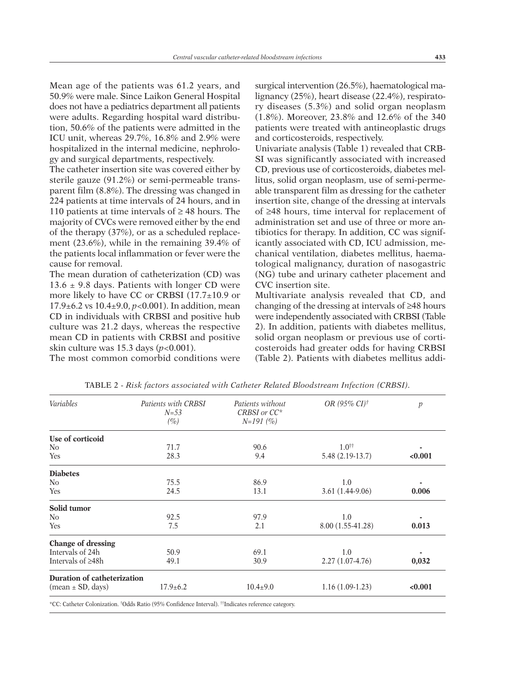Mean age of the patients was 61.2 years, and 50.9% were male. Since Laikon General Hospital does not have a pediatrics department all patients were adults. Regarding hospital ward distribution, 50.6% of the patients were admitted in the ICU unit, whereas 29.7%, 16.8% and 2.9% were hospitalized in the internal medicine, nephrology and surgical departments, respectively.

The catheter insertion site was covered either by sterile gauze (91.2%) or semi-permeable transparent film (8.8%). The dressing was changed in 224 patients at time intervals of 24 hours, and in 110 patients at time intervals of  $\geq$  48 hours. The majority of CVCs were removed either by the end of the therapy (37%), or as a scheduled replacement (23.6%), while in the remaining 39.4% of the patients local inflammation or fever were the cause for removal.

The mean duration of catheterization (CD) was 13.6  $\pm$  9.8 days. Patients with longer CD were more likely to have CC or CRBSI (17.7±10.9 or 17.9±6.2 vs 10.4±9.0, *p*<0.001). In addition, mean CD in individuals with CRBSI and positive hub culture was 21.2 days, whereas the respective mean CD in patients with CRBSI and positive skin culture was 15.3 days (*p*<0.001).

The most common comorbid conditions were

surgical intervention (26.5%), haematological malignancy (25%), heart disease (22.4%), respiratory diseases (5.3%) and solid organ neoplasm (1.8%). Moreover, 23.8% and 12.6% of the 340 patients were treated with antineoplastic drugs and corticosteroids, respectively.

Univariate analysis (Table 1) revealed that CRB-SI was significantly associated with increased CD, previous use of corticosteroids, diabetes mellitus, solid organ neoplasm, use of semi-permeable transparent film as dressing for the catheter insertion site, change of the dressing at intervals of ≥48 hours, time interval for replacement of administration set and use of three or more antibiotics for therapy. In addition, CC was significantly associated with CD, ICU admission, mechanical ventilation, diabetes mellitus, haematological malignancy, duration of nasogastric (NG) tube and urinary catheter placement and CVC insertion site.

Multivariate analysis revealed that CD, and changing of the dressing at intervals of ≥48 hours were independently associated with CRBSI (Table 2). In addition, patients with diabetes mellitus, solid organ neoplasm or previous use of corticosteroids had greater odds for having CRBSI (Table 2). Patients with diabetes mellitus addi-

| Variables                                  | Patients with CRBSI<br>$N = 53$<br>$(\%)$ | Patients without<br>CRBSI or CC*<br>$N=191(%)$ | OR (95% CI) $\dagger$ | p       |
|--------------------------------------------|-------------------------------------------|------------------------------------------------|-----------------------|---------|
| Use of corticoid                           |                                           |                                                |                       |         |
| No                                         | 71.7                                      | 90.6                                           | $1.0^{++}$            |         |
| <b>Yes</b>                                 | 28.3                                      | 9.4                                            | 5.48 (2.19-13.7)      | < 0.001 |
| <b>Diabetes</b>                            |                                           |                                                |                       |         |
| No                                         | 75.5                                      | 86.9                                           | 1.0                   |         |
| <b>Yes</b>                                 | 24.5                                      | 13.1                                           | $3.61(1.44-9.06)$     | 0.006   |
| Solid tumor                                |                                           |                                                |                       |         |
| No                                         | 92.5                                      | 97.9                                           | 1.0                   |         |
| Yes                                        | 7.5                                       | 2.1                                            | 8.00 (1.55-41.28)     | 0.013   |
| Change of dressing                         |                                           |                                                |                       |         |
| Intervals of 24h                           | 50.9                                      | 69.1                                           | 1.0                   |         |
| Intervals of $\geq 48h$                    | 49.1                                      | 30.9                                           | $2.27(1.07-4.76)$     | 0,032   |
| <b>Duration of catheterization</b>         |                                           |                                                |                       |         |
| $(\text{mean} \pm \text{SD}, \text{days})$ | $17.9 \pm 6.2$                            | $10.4{\pm}9.0$                                 | $1.16(1.09-1.23)$     | < 0.001 |

TABLE 2 - *Risk factors associated with Catheter Related Bloodstream Infection (CRBSI).*

\*CC: Catheter Colonization. †Odds Ratio (95% Confidence Interval). ††Indicates reference category.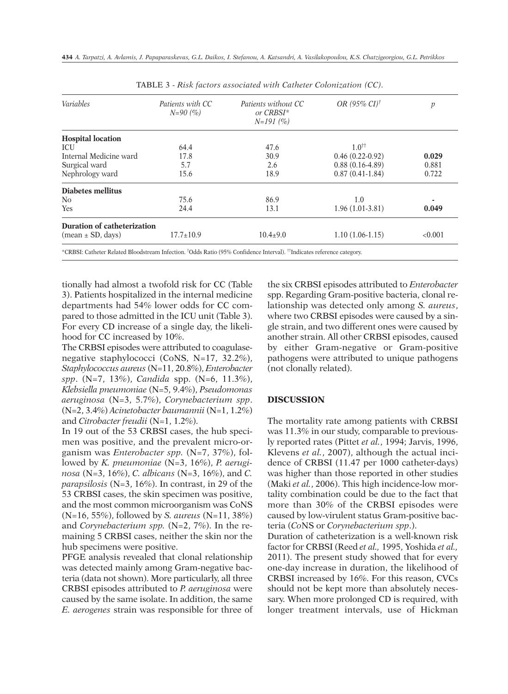| <b>Variables</b>            | Patients with CC<br>$N=90(%)$ | Patients without CC<br>or CRBSI*<br>$N=191(%)$ | OR (95% CI) $\dagger$  | p       |
|-----------------------------|-------------------------------|------------------------------------------------|------------------------|---------|
| <b>Hospital location</b>    |                               |                                                |                        |         |
| <b>ICU</b>                  | 64.4                          | 47.6                                           | $1.0^{\dagger\dagger}$ |         |
| Internal Medicine ward      | 17.8                          | 30.9                                           | $0.46(0.22-0.92)$      | 0.029   |
| Surgical ward               | 5.7                           | 2.6                                            | $0.88(0.16-4.89)$      | 0.881   |
| Nephrology ward             | 15.6                          | 18.9                                           | $0.87(0.41-1.84)$      | 0.722   |
| Diabetes mellitus           |                               |                                                |                        |         |
| No.                         | 75.6                          | 86.9                                           | 1.0                    |         |
| Yes                         | 24.4                          | 13.1                                           | $1.96(1.01-3.81)$      | 0.049   |
| Duration of catheterization |                               |                                                |                        |         |
| $(mean \pm SD, days)$       | $17.7 \pm 10.9$               | $10.4 \pm 9.0$                                 | $1.10(1.06-1.15)$      | < 0.001 |

TABLE 3 - *Risk factors associated with Catheter Colonization (CC).*

tionally had almost a twofold risk for CC (Table 3). Patients hospitalized in the internal medicine departments had 54% lower odds for CC compared to those admitted in the ICU unit (Table 3). For every CD increase of a single day, the likelihood for CC increased by 10%.

The CRBSI episodes were attributed to coagulasenegative staphylococci (CoNS, N=17, 32.2%), *Staphylococcus aureus* (N=11, 20.8%), *Enterobacter spp*. (N=7, 13%), *Candida* spp. (N=6, 11.3%), *Klebsiella pneumoniae* (N=5, 9.4%), *Pseudomonas aeruginosa* (N=3, 5.7%), *Corynebacterium spp*. (N=2, 3.4%) *Acinetobacter baumannii* (N=1, 1.2%) and *Citrobacter freudii* (N=1, 1.2%).

In 19 out of the 53 CRBSI cases, the hub specimen was positive, and the prevalent micro-organism was *Enterobacter spp.* (N=7, 37%), followed by *K. pneumoniae* (N=3, 16%), *P. aeruginosa* (N=3, 16%), *C. albicans* (N=3, 16%), and *C. parapsilosis* (N=3, 16%). In contrast, in 29 of the 53 CRBSI cases, the skin specimen was positive, and the most common microorganism was CoNS (N=16, 55%), followed by *S. aureus* (N=11, 38%) and *Corynebacterium spp.* (N=2, 7%). In the remaining 5 CRBSI cases, neither the skin nor the hub specimens were positive.

PFGE analysis revealed that clonal relationship was detected mainly among Gram-negative bacteria (data not shown). More particularly, all three CRBSI episodes attributed to *P. aeruginosa* were caused by the same isolate. In addition, the same *E. aerogenes* strain was responsible for three of

the six CRBSI episodes attributed to *Enterobacter* spp. Regarding Gram-positive bacteria, clonal relationship was detected only among *S. aureus*, where two CRBSI episodes were caused by a single strain, and two different ones were caused by another strain. All other CRBSI episodes, caused by either Gram-negative or Gram-positive pathogens were attributed to unique pathogens (not clonally related).

# **DISCUSSION**

The mortality rate among patients with CRBSI was 11.3% in our study, comparable to previously reported rates (Pittet *et al.*, 1994; Jarvis, 1996, Klevens *et al.*, 2007), although the actual incidence of CRBSI (11.47 per 1000 catheter-days) was higher than those reported in other studies (Maki *et al.*, 2006). This high incidence-low mortality combination could be due to the fact that more than 30% of the CRBSI episodes were caused by low-virulent status Gram-positive bacteria (*Co*NS or *Corynebacterium spp*.).

Duration of catheterization is a well-known risk factor for CRBSI (Reed *et al.,* 1995, Yoshida *et al.,* 2011). The present study showed that for every one-day increase in duration, the likelihood of CRBSI increased by 16%. For this reason, CVCs should not be kept more than absolutely necessary. When more prolonged CD is required, with longer treatment intervals, use of Hickman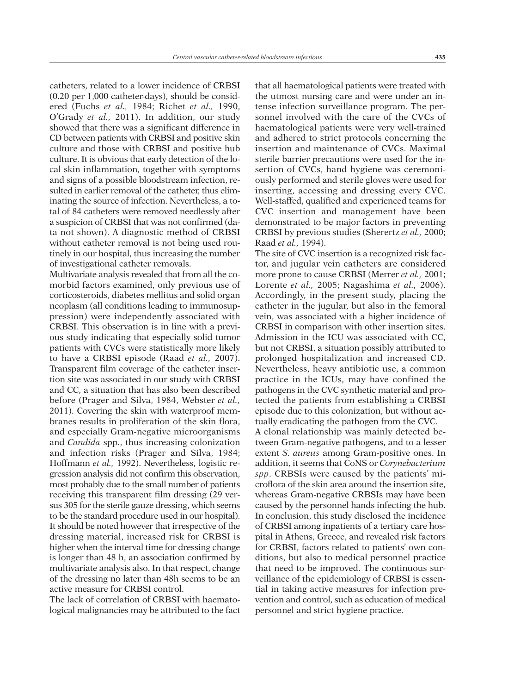catheters, related to a lower incidence of CRBSI (0.20 per 1,000 catheter-days), should be considered (Fuchs *et al.,* 1984; Richet *et al.,* 1990, O'Grady *et al.,* 2011). In addition, our study showed that there was a significant difference in CD between patients with CRBSI and positive skin culture and those with CRBSI and positive hub culture. It is obvious that early detection of the local skin inflammation, together with symptoms and signs of a possible bloodstream infection, resulted in earlier removal of the catheter, thus eliminating the source of infection. Nevertheless, a total of 84 catheters were removed needlessly after a suspicion of CRBSI that was not confirmed (data not shown). A diagnostic method of CRBSI without catheter removal is not being used routinely in our hospital, thus increasing the number of investigational catheter removals.

Multivariate analysis revealed that from all the comorbid factors examined, only previous use of corticosteroids, diabetes mellitus and solid organ neoplasm (all conditions leading to immunosuppression) were independently associated with CRBSI. This observation is in line with a previous study indicating that especially solid tumor patients with CVCs were statistically more likely to have a CRBSI episode (Raad *et al.,* 2007). Transparent film coverage of the catheter insertion site was associated in our study with CRBSI and CC, a situation that has also been described before (Prager and Silva, 1984, Webster *et al.,* 2011). Covering the skin with waterproof membranes results in proliferation of the skin flora, and especially Gram-negative microorganisms and *Candida* spp., thus increasing colonization and infection risks (Prager and Silva, 1984; Hoffmann *et al.,* 1992). Nevertheless, logistic regression analysis did not confirm this observation, most probably due to the small number of patients receiving this transparent film dressing (29 versus 305 for the sterile gauze dressing, which seems to be the standard procedure used in our hospital). It should be noted however that irrespective of the dressing material, increased risk for CRBSI is higher when the interval time for dressing change is longer than 48 h, an association confirmed by multivariate analysis also. In that respect, change of the dressing no later than 48h seems to be an active measure for CRBSI control.

The lack of correlation of CRBSI with haematological malignancies may be attributed to the fact that all haematological patients were treated with the utmost nursing care and were under an intense infection surveillance program. The personnel involved with the care of the CVCs of haematological patients were very well-trained and adhered to strict protocols concerning the insertion and maintenance of CVCs. Maximal sterile barrier precautions were used for the insertion of CVCs, hand hygiene was ceremoniously performed and sterile gloves were used for inserting, accessing and dressing every CVC. Well-staffed, qualified and experienced teams for CVC insertion and management have been demonstrated to be major factors in preventing CRBSI by previous studies (Sherertz *et al.,* 2000; Raad *et al.,* 1994).

The site of CVC insertion is a recognized risk factor, and jugular vein catheters are considered more prone to cause CRBSI (Merrer *et al.,* 2001; Lorente *et al.,* 2005; Nagashima *et al.,* 2006). Accordingly, in the present study, placing the catheter in the jugular, but also in the femoral vein, was associated with a higher incidence of CRBSI in comparison with other insertion sites. Admission in the ICU was associated with CC, but not CRBSI, a situation possibly attributed to prolonged hospitalization and increased CD. Nevertheless, heavy antibiotic use, a common practice in the ICUs, may have confined the pathogens in the CVC synthetic material and protected the patients from establishing a CRBSI episode due to this colonization, but without actually eradicating the pathogen from the CVC. A clonal relationship was mainly detected between Gram-negative pathogens, and to a lesser extent *S. aureus* among Gram-positive ones. In addition, it seems that CoNS or *Corynebacterium spp*. CRBSIs were caused by the patients' microflora of the skin area around the insertion site, whereas Gram-negative CRBSIs may have been caused by the personnel hands infecting the hub. In conclusion, this study disclosed the incidence of CRBSI among inpatients of a tertiary care hospital in Athens, Greece, and revealed risk factors for CRBSI, factors related to patients' own conditions, but also to medical personnel practice that need to be improved. The continuous surveillance of the epidemiology of CRBSI is essential in taking active measures for infection prevention and control, such as education of medical personnel and strict hygiene practice.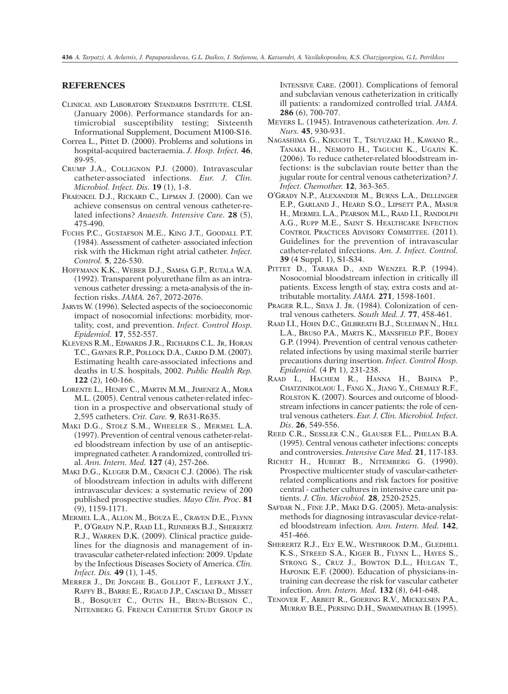# **REFERENCES**

- CLINICAL AND LABORATORY STANDARDS INSTITUTE. CLSI. (January 2006). Performance standards for antimicrobial susceptibility testing; Sixteenth Informational Supplement, Document M100-S16.
- Correa L., Pittet D. (2000). Problems and solutions in hospital-acquired bacteraemia. *J. Hosp. Infect.* **46**, 89-95.
- CRUMP J.A., COLLIGNON P.J. (2000). Intravascular catheter-associated infections. *Eur. J. Clin. Microbiol. Infect. Dis.* **19** (1), 1-8.
- FRAENKEL D.J., RICKARD C., LIPMAN J. (2000). Can we achieve consensus on central venous catheter-related infections? *Anaesth. Intensive Care.* **28** (5), 475-490.
- FUCHS P.C., GUSTAFSON M.E., KING J.T., GOODALL P.T. (1984). Assessment of catheter- associated infection risk with the Hickman right atrial catheter. *Infect. Control.* **5**, 226-530.
- HOFFMANN K.K., WEBER D.J., SAMSA G.P., RUTALA W.A. (1992). Transparent polyurethane film as an intravenous catheter dressing: a meta-analysis of the infection risks. *JAMA.* 267, 2072-2076.
- JARVIS W. (1996). Selected aspects of the socioeconomic impact of nosocomial infections: morbidity, mortality, cost, and prevention. *Infect. Control Hosp. Epidemiol.* **17**, 552-557.
- KLEVENS R.M., EDWARDS J.R., RICHARDS C.L. JR, HORAN T.C., GAYNES R.P., POLLOCK D.A., CARDO D.M. (2007). Estimating health care-associated infections and deaths in U.S. hospitals, 2002. *Public Health Rep.* **122** (2), 160-166.
- LORENTE L., HENRY C., MARTIN M.M., JIMENEZ A., MORA M.L. (2005). Central venous catheter-related infection in a prospective and observational study of 2,595 catheters. *Crit. Care.* **9**, R631-R635.
- MAKI D.G., STOLZ S.M., WHEELER S., MERMEL L.A. (1997). Prevention of central venous catheter-related bloodstream infection by use of an antisepticimpregnated catheter. A randomized, controlled trial. *Ann. Intern. Med.* **127** (4), 257-266.
- MAKI D.G., KLUGER D.M., CRNICH C.J. (2006). The risk of bloodstream infection in adults with different intravascular devices: a systematic review of 200 published prospective studies. *Mayo Clin. Proc.* **81** (9), 1159-1171.
- MERMEL L.A., ALLON M., BOUZA E., CRAVEN D.E., FLYNN P., O'GRADY N.P., RAAD I.I., RIJNDERS B.J., SHERERTZ R.J., WARREN D.K. (2009). Clinical practice guidelines for the diagnosis and management of intravascular catheter-related infection: 2009. Update by the Infectious Diseases Society of America. *Clin. Infect. Dis.* **49** (1), 1-45.
- MERRER J., DE JONGHE B., GOLLIOT F., LEFRANT J.Y., RAFFY B., BARRE E., RIGAUD J.P., CASCIANI D., MISSET B., BOSQUET C., OUTIN H., BRUN-BUISSON C., NITENBERG G. FRENCH CATHETER STUDY GROUP IN

INTENSIVE CARE. (2001). Complications of femoral and subclavian venous catheterization in critically ill patients: a randomized controlled trial. *JAMA.* **286** (6), 700-707.

- MEYERS L. (1945). Intravenous catheterization. *Am. J. Nurs.* **45**, 930-931.
- NAGASHIMA G., KIKUCHI T., TSUYUZAKI H., KAWANO R., TANAKA H., NEMOTO H., TAGUCHI K., UGAJIN K. (2006). To reduce catheter-related bloodstream infections: is the subclavian route better than the jugular route for central venous catheterization? *J. Infect. Chemother.* **12**, 363-365.
- O'GRADY N.P., ALEXANDER M., BURNS L.A., DELLINGER E.P., GARLAND J., HEARD S.O., LIPSETT P.A., MASUR H., MERMEL L.A., PEARSON M.L., RAAD I.I., RANDOLPH A.G., RUPP M.E., SAINT S. HEALTHCARE INFECTION CONTROL PRACTICES ADVISORY COMMITTEE. (2011). Guidelines for the prevention of intravascular catheter-related infections. *Am. J. Infect. Control.* **39** (4 Suppl. 1), S1-S34.
- PITTET D., TARARA D., AND WENZEL R.P. (1994). Nosocomial bloodstream infection in critically ill patients. Excess length of stay, extra costs and attributable mortality. *JAMA.* **271**, 1598-1601.
- PRAGER R.L., SILVA J. JR. (1984). Colonization of central venous catheters. *South Med. J.* **77**, 458-461.
- RAAD I.I., HOHN D.C., GILBREATH B.J., SULEIMAN N., HILL L.A., BRUSO P.A., MARTS K., MANSFIELD P.F., BODEY G.P. (1994). Prevention of central venous catheterrelated infections by using maximal sterile barrier precautions during insertion. *Infect. Control Hosp. Epidemiol.* (4 Pt 1), 231-238.
- RAAD I., HACHEM R., HANNA H., BAHNA P., CHATZINIKOLAOU I., FANG X., JIANG Y., CHEMALY R.F., ROLSTON K. (2007). Sources and outcome of bloodstream infections in cancer patients: the role of central venous catheters. *Eur. J. Clin. Microbiol. Infect. Dis*. **26**, 549-556.
- REED C.R., SESSLER C.N., GLAUSER F.L., PHELAN B.A. (1995). Central venous catheter infections: concepts and controversies. *Intensive Care Med.* **21**, 117-183.
- RICHET H., HUBERT B., NITEMBERG G. (1990). Prospective multicenter study of vascular-catheterrelated complications and risk factors for positive central - catheter cultures in intensive care unit patients. *J. Clin. Microbiol.* **28**, 2520-2525.
- SAFDAR N., FINE J.P., MAKI D.G. (2005). Meta-analysis: methods for diagnosing intravascular device-related bloodstream infection. *Ann. Intern. Med.* **142**, 451-466.
- SHERERTZ R.J., ELY E.W., WESTBROOK D.M., GLEDHILL K.S., STREED S.A., KIGER B., FLYNN L., HAYES S., STRONG S., CRUZ J., BOWTON D.L., HULGAN T., HAPONIK E.F. (2000). Education of physicians-intraining can decrease the risk for vascular catheter infection. *Ann. Intern. Med.* **132** (8), 641-648.
- TENOVER F., ARBEIT R., GOERING R.V., MICKELSEN P.A., MURRAY B.E., PERSING D.H., SWAMINATHAN B. (1995).